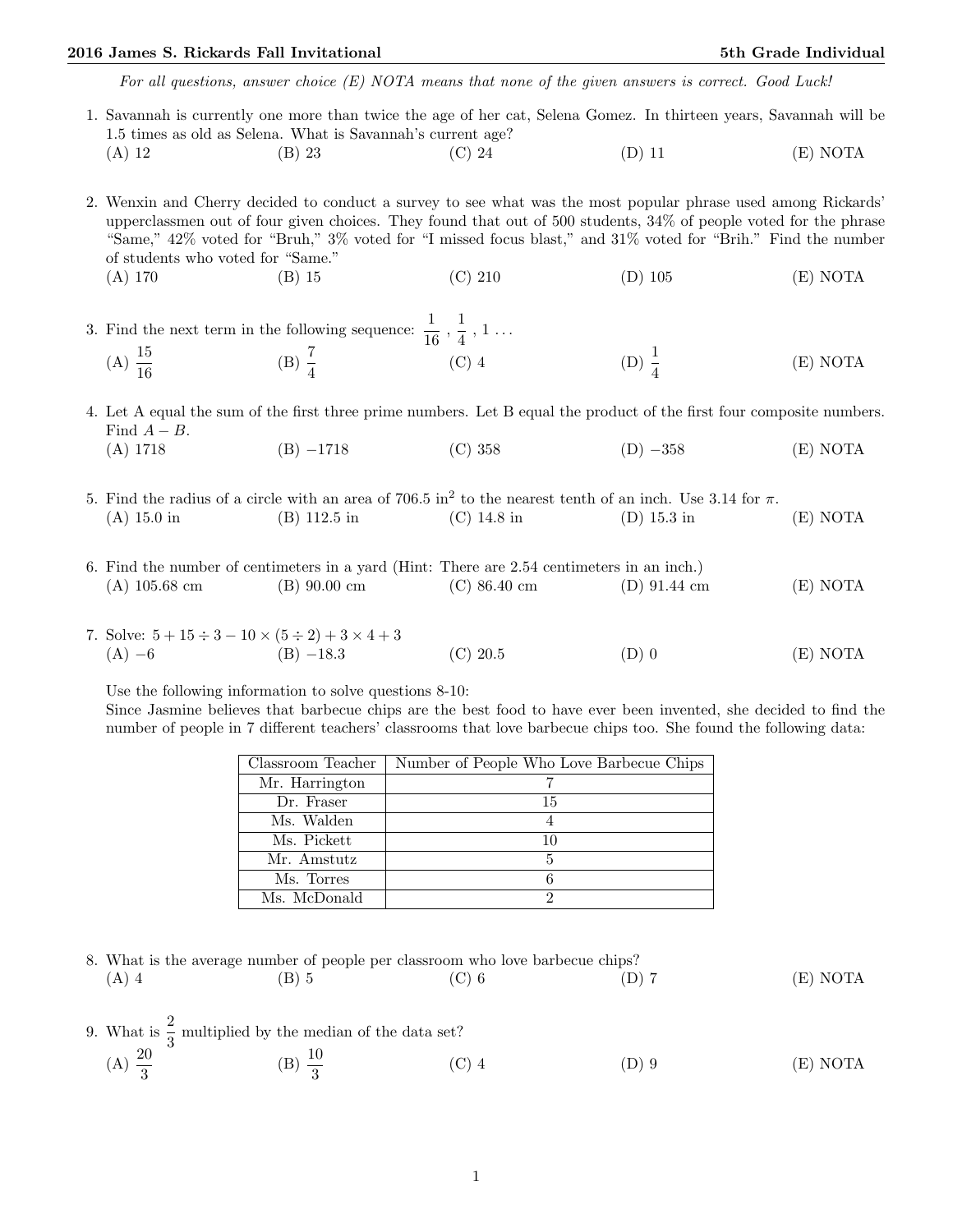## 2016 James S. Rickards Fall Invitational 5th Grade Individual 5th Grade Individual

For all questions, answer choice (E) NOTA means that none of the given answers is correct. Good Luck!

1. Savannah is currently one more than twice the age of her cat, Selena Gomez. In thirteen years, Savannah will be 1.5 times as old as Selena. What is Savannah's current age? (A) 12 (B) 23 (C) 24 (D) 11 (E) NOTA

2. Wenxin and Cherry decided to conduct a survey to see what was the most popular phrase used among Rickards' upperclassmen out of four given choices. They found that out of 500 students, 34% of people voted for the phrase "Same," 42% voted for "Bruh," 3% voted for "I missed focus blast," and 31% voted for "Brih." Find the number of students who voted for "Same." (A) 170 (B) 15 (C) 210 (D) 105 (E) NOTA

3. Find the next term in the following sequence:  $\frac{1}{16}$ ,  $\frac{1}{4}$  $\frac{1}{4}$ , 1...  $(A) \frac{15}{16}$ (B)  $\frac{7}{4}$ (C) 4 (D)  $\frac{1}{4}$ (E) NOTA

4. Let A equal the sum of the first three prime numbers. Let B equal the product of the first four composite numbers. Find  $A - B$ . (A) 1718 (B) −1718 (C) 358 (D) −358 (E) NOTA

- 5. Find the radius of a circle with an area of 706.5 in<sup>2</sup> to the nearest tenth of an inch. Use 3.14 for π. (A) 15.0 in (B) 112.5 in (C) 14.8 in (D) 15.3 in (E) NOTA
- 6. Find the number of centimeters in a yard (Hint: There are 2.54 centimeters in an inch.) (A) 105.68 cm (B) 90.00 cm (C) 86.40 cm (D) 91.44 cm (E) NOTA
- 7. Solve:  $5 + 15 \div 3 10 \times (5 \div 2) + 3 \times 4 + 3$ (A) −6 (B) −18.3 (C) 20.5 (D) 0 (E) NOTA

Use the following information to solve questions 8-10:

Since Jasmine believes that barbecue chips are the best food to have ever been invented, she decided to find the number of people in 7 different teachers' classrooms that love barbecue chips too. She found the following data:

| Classroom Teacher | Number of People Who Love Barbecue Chips |
|-------------------|------------------------------------------|
| Mr. Harrington    |                                          |
| Dr. Fraser        | 15                                       |
| Ms. Walden        |                                          |
| Ms. Pickett       | 10                                       |
| Mr. Amstutz       |                                          |
| Ms. Torres        |                                          |
| Ms. McDonald      |                                          |

8. What is the average number of people per classroom who love barbecue chips? (A) 4 (B) 5 (C) 6 (D) 7 (E) NOTA

- 9. What is  $\frac{2}{3}$  multiplied by the median of the data set?
	- (A)  $\frac{20}{3}$ (B)  $\frac{10}{3}$ (C) 4 (D) 9 (E) NOTA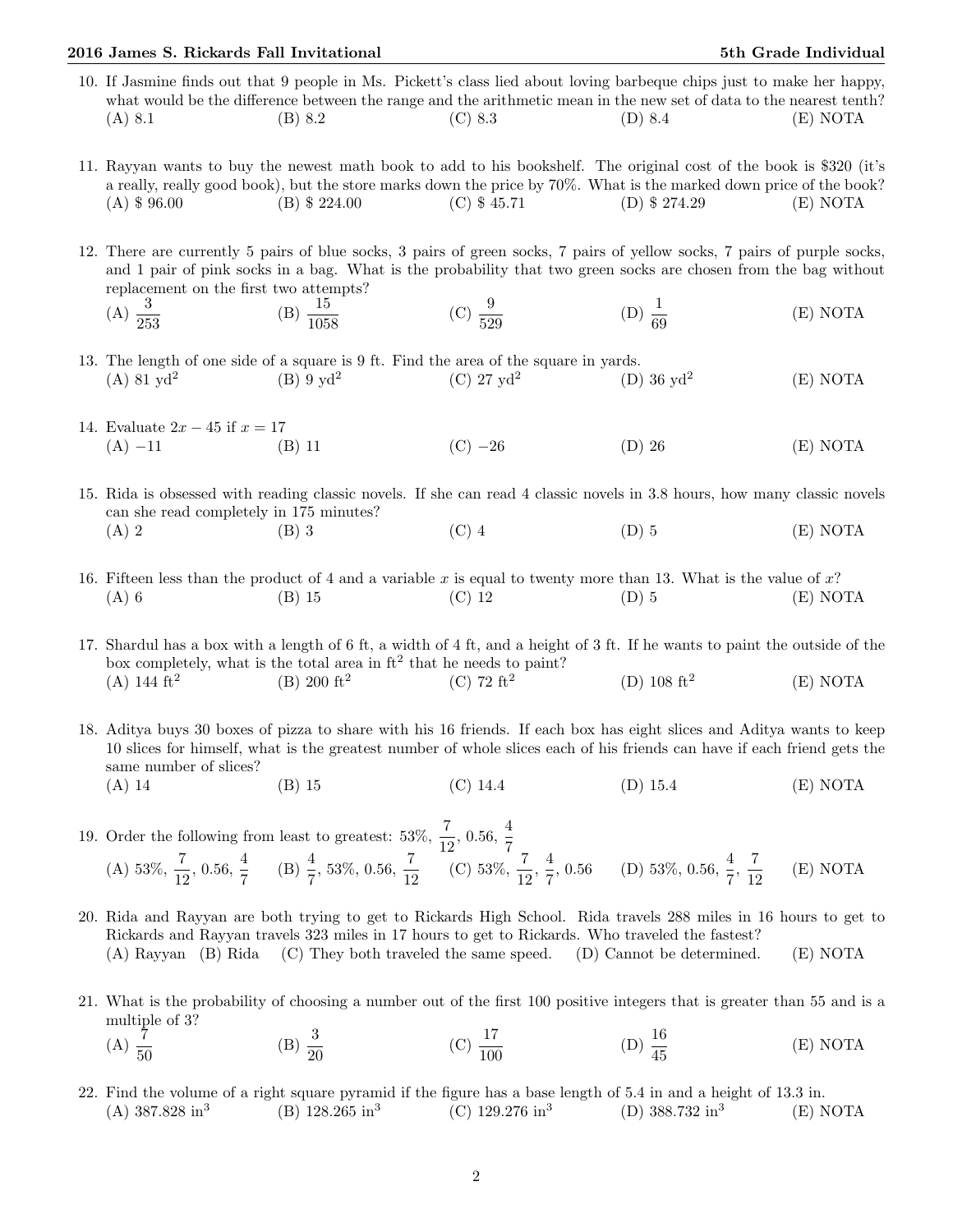## 2016 James S. Rickards Fall Invitational 5th Grade Individual 5th Grade Individual

- 10. If Jasmine finds out that 9 people in Ms. Pickett's class lied about loving barbeque chips just to make her happy, what would be the difference between the range and the arithmetic mean in the new set of data to the nearest tenth? (A) 8.1 (B) 8.2 (C) 8.3 (D) 8.4 (E) NOTA
- 11. Rayyan wants to buy the newest math book to add to his bookshelf. The original cost of the book is \$320 (it's a really, really good book), but the store marks down the price by 70%. What is the marked down price of the book? (A) \$ 96.00 (B) \$ 224.00 (C) \$ 45.71 (D) \$ 274.29 (E) NOTA
- 12. There are currently 5 pairs of blue socks, 3 pairs of green socks, 7 pairs of yellow socks, 7 pairs of purple socks, and 1 pair of pink socks in a bag. What is the probability that two green socks are chosen from the bag without replacement on the first two attempts?
	- $(A) \frac{3}{253}$  $(B) \frac{15}{1058}$ (C)  $\frac{9}{529}$ (D)  $\frac{1}{69}$ (E) NOTA
- 13. The length of one side of a square is 9 ft. Find the area of the square in yards.  $(A)$  81  $vd^2$  $(B)$  9 yd<sup>2</sup> (C)  $27 \text{ yd}^2$  $(D)$  36 yd<sup>2</sup> (E) NOTA
- 14. Evaluate  $2x 45$  if  $x = 17$ (A) −11 (B) 11 (C) −26 (D) 26 (E) NOTA
- 15. Rida is obsessed with reading classic novels. If she can read 4 classic novels in 3.8 hours, how many classic novels can she read completely in 175 minutes? (A) 2 (B) 3 (C) 4 (D) 5 (E) NOTA
- 16. Fifteen less than the product of 4 and a variable x is equal to twenty more than 13. What is the value of  $x$ ? (A) 6 (B) 15 (C) 12 (D) 5 (E) NOTA

17. Shardul has a box with a length of 6 ft, a width of 4 ft, and a height of 3 ft. If he wants to paint the outside of the box completely, what is the total area in  $ft^2$  that he needs to paint?  $(A)$  144 ft<sup>2</sup>  $(B)$  200 ft<sup>2</sup>  $(C)$  72 ft<sup>2</sup> (D)  $108 \text{ ft}^2$ (E) NOTA

18. Aditya buys 30 boxes of pizza to share with his 16 friends. If each box has eight slices and Aditya wants to keep 10 slices for himself, what is the greatest number of whole slices each of his friends can have if each friend gets the same number of slices? (A) 14 (B) 15 (C) 14.4 (D) 15.4 (E) NOTA

- 19. Order the following from least to greatest:  $53\%, \frac{7}{12}, 0.56, \frac{4}{7}$ 7 (A)  $53\%, \frac{7}{12}, 0.56, \frac{4}{7}$  $\frac{4}{7}$  (B)  $\frac{4}{7}$ , 53%, 0.56,  $\frac{7}{12}$  (C) 53%,  $\frac{7}{12}$ ,  $\frac{4}{7}$  $\frac{4}{7}$ , 0.56 (D) 53%, 0.56,  $\frac{4}{7}$ ,  $\frac{7}{12}$ 12 (E) NOTA
- 20. Rida and Rayyan are both trying to get to Rickards High School. Rida travels 288 miles in 16 hours to get to Rickards and Rayyan travels 323 miles in 17 hours to get to Rickards. Who traveled the fastest? (A) Rayyan (B) Rida (C) They both traveled the same speed. (D) Cannot be determined. (E) NOTA
- 21. What is the probability of choosing a number out of the first 100 positive integers that is greater than 55 and is a multiple of 3?
	- (A)  $\frac{7}{50}$ (B)  $\frac{3}{20}$  $(C) \frac{17}{100}$ (D)  $\frac{16}{45}$ (E) NOTA
- 22. Find the volume of a right square pyramid if the figure has a base length of 5.4 in and a height of 13.3 in.  $(A)$  387.828 in<sup>3</sup> (B)  $128.265 \text{ in}^3$ (C)  $129.276 \text{ in}^3$ (D)  $388.732 \text{ in}^3$ (E) NOTA